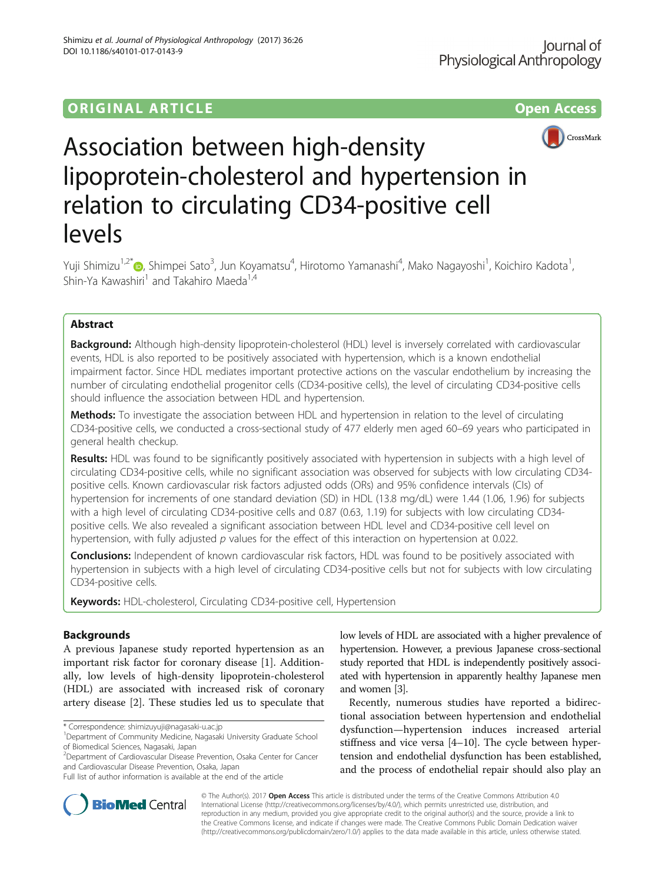# **ORIGINAL ARTICLE CONSERVERSITY OF ACCESS**



# Association between high-density lipoprotein-cholesterol and hypertension in relation to circulating CD34-positive cell levels

Yuji Shimizu<sup>1,2[\\*](http://orcid.org/0000-0002-3381-9288)</sup>@, Shimpei Sato<sup>3</sup>, Jun Koyamatsu<sup>4</sup>, Hirotomo Yamanashi<sup>4</sup>, Mako Nagayoshi<sup>1</sup>, Koichiro Kadota<sup>1</sup> , Shin-Ya Kawashiri<sup>1</sup> and Takahiro Maeda<sup>1,4</sup>

# Abstract

Background: Although high-density lipoprotein-cholesterol (HDL) level is inversely correlated with cardiovascular events, HDL is also reported to be positively associated with hypertension, which is a known endothelial impairment factor. Since HDL mediates important protective actions on the vascular endothelium by increasing the number of circulating endothelial progenitor cells (CD34-positive cells), the level of circulating CD34-positive cells should influence the association between HDL and hypertension.

Methods: To investigate the association between HDL and hypertension in relation to the level of circulating CD34-positive cells, we conducted a cross-sectional study of 477 elderly men aged 60–69 years who participated in general health checkup.

Results: HDL was found to be significantly positively associated with hypertension in subjects with a high level of circulating CD34-positive cells, while no significant association was observed for subjects with low circulating CD34 positive cells. Known cardiovascular risk factors adjusted odds (ORs) and 95% confidence intervals (CIs) of hypertension for increments of one standard deviation (SD) in HDL (13.8 mg/dL) were 1.44 (1.06, 1.96) for subjects with a high level of circulating CD34-positive cells and 0.87 (0.63, 1.19) for subjects with low circulating CD34 positive cells. We also revealed a significant association between HDL level and CD34-positive cell level on hypertension, with fully adjusted  $p$  values for the effect of this interaction on hypertension at 0.022.

**Conclusions:** Independent of known cardiovascular risk factors, HDL was found to be positively associated with hypertension in subjects with a high level of circulating CD34-positive cells but not for subjects with low circulating CD34-positive cells.

Keywords: HDL-cholesterol, Circulating CD34-positive cell, Hypertension

# Backgrounds

A previous Japanese study reported hypertension as an important risk factor for coronary disease [[1\]](#page-5-0). Additionally, low levels of high-density lipoprotein-cholesterol (HDL) are associated with increased risk of coronary artery disease [\[2](#page-5-0)]. These studies led us to speculate that

\* Correspondence: [shimizuyuji@nagasaki-u.ac.jp](mailto:shimizuyuji@nagasaki-u.ac.jp) <sup>1</sup>

<sup>2</sup> Department of Cardiovascular Disease Prevention, Osaka Center for Cancer and Cardiovascular Disease Prevention, Osaka, Japan

Full list of author information is available at the end of the article

low levels of HDL are associated with a higher prevalence of hypertension. However, a previous Japanese cross-sectional study reported that HDL is independently positively associated with hypertension in apparently healthy Japanese men and women [\[3\]](#page-5-0).

Recently, numerous studies have reported a bidirectional association between hypertension and endothelial dysfunction—hypertension induces increased arterial stiffness and vice versa [\[4](#page-5-0)–[10\]](#page-5-0). The cycle between hypertension and endothelial dysfunction has been established, and the process of endothelial repair should also play an



© The Author(s). 2017 **Open Access** This article is distributed under the terms of the Creative Commons Attribution 4.0 International License [\(http://creativecommons.org/licenses/by/4.0/](http://creativecommons.org/licenses/by/4.0/)), which permits unrestricted use, distribution, and reproduction in any medium, provided you give appropriate credit to the original author(s) and the source, provide a link to the Creative Commons license, and indicate if changes were made. The Creative Commons Public Domain Dedication waiver [\(http://creativecommons.org/publicdomain/zero/1.0/](http://creativecommons.org/publicdomain/zero/1.0/)) applies to the data made available in this article, unless otherwise stated.

<sup>&</sup>lt;sup>1</sup>Department of Community Medicine, Nagasaki University Graduate School of Biomedical Sciences, Nagasaki, Japan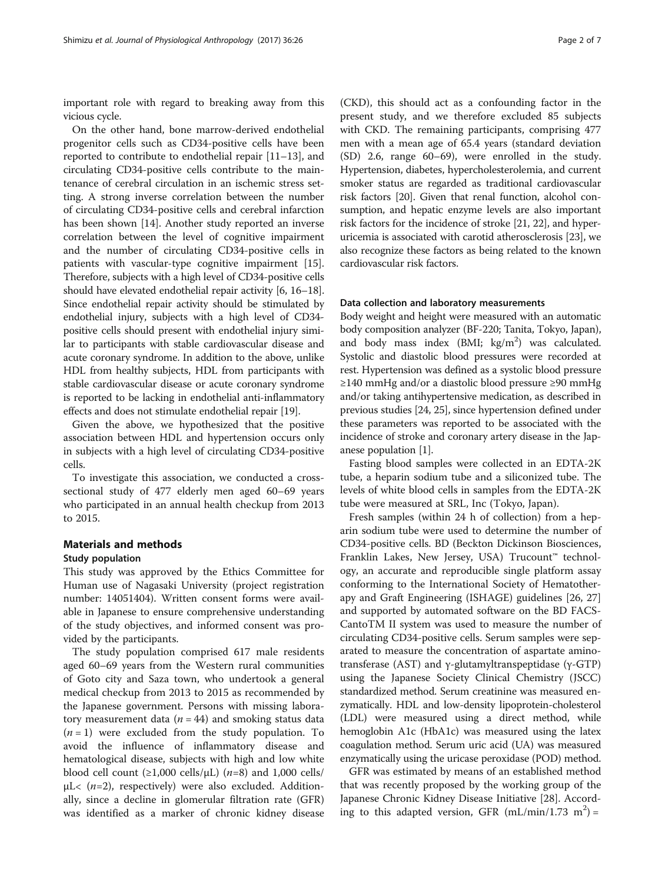important role with regard to breaking away from this vicious cycle.

On the other hand, bone marrow-derived endothelial progenitor cells such as CD34-positive cells have been reported to contribute to endothelial repair [[11](#page-5-0)–[13](#page-5-0)], and circulating CD34-positive cells contribute to the maintenance of cerebral circulation in an ischemic stress setting. A strong inverse correlation between the number of circulating CD34-positive cells and cerebral infarction has been shown [\[14](#page-5-0)]. Another study reported an inverse correlation between the level of cognitive impairment and the number of circulating CD34-positive cells in patients with vascular-type cognitive impairment [\[15](#page-5-0)]. Therefore, subjects with a high level of CD34-positive cells should have elevated endothelial repair activity [\[6](#page-5-0), [16](#page-5-0)–[18](#page-5-0)]. Since endothelial repair activity should be stimulated by endothelial injury, subjects with a high level of CD34 positive cells should present with endothelial injury similar to participants with stable cardiovascular disease and acute coronary syndrome. In addition to the above, unlike HDL from healthy subjects, HDL from participants with stable cardiovascular disease or acute coronary syndrome is reported to be lacking in endothelial anti-inflammatory effects and does not stimulate endothelial repair [\[19\]](#page-5-0).

Given the above, we hypothesized that the positive association between HDL and hypertension occurs only in subjects with a high level of circulating CD34-positive cells.

To investigate this association, we conducted a crosssectional study of 477 elderly men aged 60–69 years who participated in an annual health checkup from 2013 to 2015.

#### Materials and methods

#### Study population

This study was approved by the Ethics Committee for Human use of Nagasaki University (project registration number: 14051404). Written consent forms were available in Japanese to ensure comprehensive understanding of the study objectives, and informed consent was provided by the participants.

The study population comprised 617 male residents aged 60–69 years from the Western rural communities of Goto city and Saza town, who undertook a general medical checkup from 2013 to 2015 as recommended by the Japanese government. Persons with missing laboratory measurement data ( $n = 44$ ) and smoking status data  $(n = 1)$  were excluded from the study population. To avoid the influence of inflammatory disease and hematological disease, subjects with high and low white blood cell count  $(\geq 1,000 \text{ cells/}\mu\text{L})$   $(n=8)$  and 1,000 cells/  $\mu$ L< ( $n=2$ ), respectively) were also excluded. Additionally, since a decline in glomerular filtration rate (GFR) was identified as a marker of chronic kidney disease

(CKD), this should act as a confounding factor in the present study, and we therefore excluded 85 subjects with CKD. The remaining participants, comprising 477 men with a mean age of 65.4 years (standard deviation (SD) 2.6, range 60–69), were enrolled in the study. Hypertension, diabetes, hypercholesterolemia, and current smoker status are regarded as traditional cardiovascular risk factors [\[20\]](#page-5-0). Given that renal function, alcohol consumption, and hepatic enzyme levels are also important risk factors for the incidence of stroke [\[21, 22](#page-5-0)], and hyperuricemia is associated with carotid atherosclerosis [[23\]](#page-6-0), we also recognize these factors as being related to the known cardiovascular risk factors.

## Data collection and laboratory measurements

Body weight and height were measured with an automatic body composition analyzer (BF-220; Tanita, Tokyo, Japan), and body mass index (BMI; kg/m<sup>2</sup>) was calculated. Systolic and diastolic blood pressures were recorded at rest. Hypertension was defined as a systolic blood pressure ≥140 mmHg and/or a diastolic blood pressure ≥90 mmHg and/or taking antihypertensive medication, as described in previous studies [\[24](#page-6-0), [25](#page-6-0)], since hypertension defined under these parameters was reported to be associated with the incidence of stroke and coronary artery disease in the Japanese population [\[1](#page-5-0)].

Fasting blood samples were collected in an EDTA-2K tube, a heparin sodium tube and a siliconized tube. The levels of white blood cells in samples from the EDTA-2K tube were measured at SRL, Inc (Tokyo, Japan).

Fresh samples (within 24 h of collection) from a heparin sodium tube were used to determine the number of CD34-positive cells. BD (Beckton Dickinson Biosciences, Franklin Lakes, New Jersey, USA) Trucount™ technology, an accurate and reproducible single platform assay conforming to the International Society of Hematotherapy and Graft Engineering (ISHAGE) guidelines [\[26](#page-6-0), [27](#page-6-0)] and supported by automated software on the BD FACS-CantoTM II system was used to measure the number of circulating CD34-positive cells. Serum samples were separated to measure the concentration of aspartate aminotransferase (AST) and γ-glutamyltranspeptidase (γ-GTP) using the Japanese Society Clinical Chemistry (JSCC) standardized method. Serum creatinine was measured enzymatically. HDL and low-density lipoprotein-cholesterol (LDL) were measured using a direct method, while hemoglobin A1c (HbA1c) was measured using the latex coagulation method. Serum uric acid (UA) was measured enzymatically using the uricase peroxidase (POD) method.

GFR was estimated by means of an established method that was recently proposed by the working group of the Japanese Chronic Kidney Disease Initiative [\[28\]](#page-6-0). According to this adapted version, GFR  $(mL/min/1.73 \text{ m}^2)$  =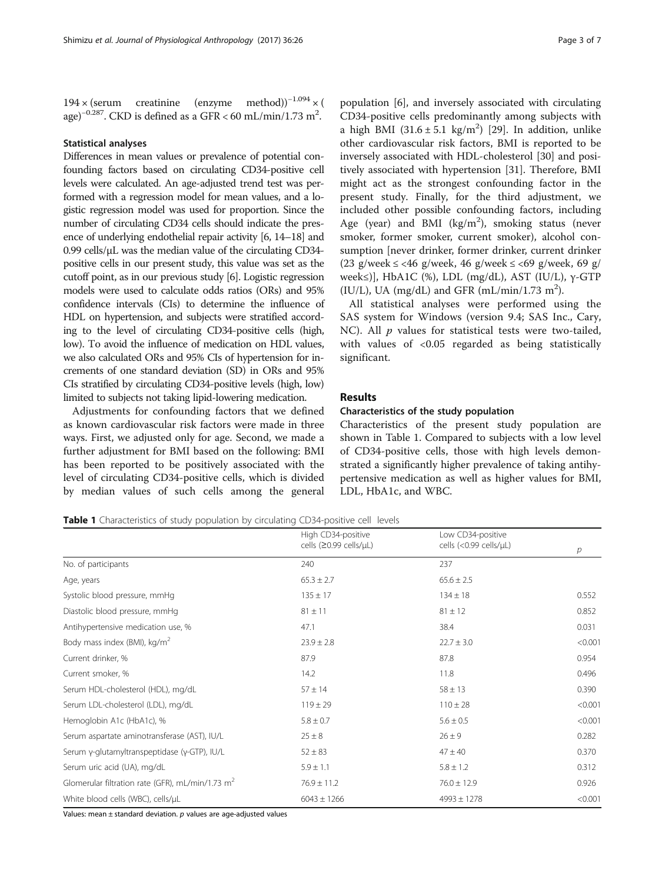$194 \times (serum \text{c}retinine \text{ (enzyme \text{ method}))}^{-1.094} \times ($ age)<sup>−0.287</sup>. CKD is defined as a GFR < 60 mL/min/1.73 m<sup>2</sup>.

#### Statistical analyses

Differences in mean values or prevalence of potential confounding factors based on circulating CD34-positive cell levels were calculated. An age-adjusted trend test was performed with a regression model for mean values, and a logistic regression model was used for proportion. Since the number of circulating CD34 cells should indicate the presence of underlying endothelial repair activity [\[6, 14](#page-5-0)–[18](#page-5-0)] and 0.99 cells/μL was the median value of the circulating CD34 positive cells in our present study, this value was set as the cutoff point, as in our previous study [\[6\]](#page-5-0). Logistic regression models were used to calculate odds ratios (ORs) and 95% confidence intervals (CIs) to determine the influence of HDL on hypertension, and subjects were stratified according to the level of circulating CD34-positive cells (high, low). To avoid the influence of medication on HDL values, we also calculated ORs and 95% CIs of hypertension for increments of one standard deviation (SD) in ORs and 95% CIs stratified by circulating CD34-positive levels (high, low) limited to subjects not taking lipid-lowering medication.

Adjustments for confounding factors that we defined as known cardiovascular risk factors were made in three ways. First, we adjusted only for age. Second, we made a further adjustment for BMI based on the following: BMI has been reported to be positively associated with the level of circulating CD34-positive cells, which is divided by median values of such cells among the general

population [[6\]](#page-5-0), and inversely associated with circulating CD34-positive cells predominantly among subjects with a high BMI  $(31.6 \pm 5.1 \text{ kg/m}^2)$  [\[29](#page-6-0)]. In addition, unlike other cardiovascular risk factors, BMI is reported to be inversely associated with HDL-cholesterol [[30\]](#page-6-0) and positively associated with hypertension [[31\]](#page-6-0). Therefore, BMI might act as the strongest confounding factor in the present study. Finally, for the third adjustment, we included other possible confounding factors, including Age (year) and BMI ( $\text{kg/m}^2$ ), smoking status (never smoker, former smoker, current smoker), alcohol consumption [never drinker, former drinker, current drinker (23 g/week  $\le$  <46 g/week, 46 g/week  $\le$  <69 g/week, 69 g/  $week≤$ ], HbA1C (%), LDL (mg/dL), AST (IU/L), γ-GTP (IU/L), UA (mg/dL) and GFR (mL/min/1.73 m<sup>2</sup>).

All statistical analyses were performed using the SAS system for Windows (version 9.4; SAS Inc., Cary, NC). All  $p$  values for statistical tests were two-tailed, with values of <0.05 regarded as being statistically significant.

### Results

#### Characteristics of the study population

Characteristics of the present study population are shown in Table 1. Compared to subjects with a low level of CD34-positive cells, those with high levels demonstrated a significantly higher prevalence of taking antihypertensive medication as well as higher values for BMI, LDL, HbA1c, and WBC.

Table 1 Characteristics of study population by circulating CD34-positive cell levels

|                                                    | High CD34-positive     | Low CD34-positive      |         |  |
|----------------------------------------------------|------------------------|------------------------|---------|--|
|                                                    | cells (≥0.99 cells/µL) | cells (<0.99 cells/µL) | р       |  |
| No. of participants                                | 240                    | 237                    |         |  |
| Age, years                                         | $65.3 \pm 2.7$         | $65.6 \pm 2.5$         |         |  |
| Systolic blood pressure, mmHg                      | $135 \pm 17$           | $134 \pm 18$           | 0.552   |  |
| Diastolic blood pressure, mmHg                     | $81 \pm 11$            | $81 \pm 12$            | 0.852   |  |
| Antihypertensive medication use, %                 | 47.1                   | 38.4                   | 0.031   |  |
| Body mass index (BMI), kg/m <sup>2</sup>           | $23.9 \pm 2.8$         | $22.7 \pm 3.0$         | < 0.001 |  |
| Current drinker, %                                 | 87.9                   | 87.8                   | 0.954   |  |
| Current smoker, %                                  | 14.2                   | 11.8                   | 0.496   |  |
| Serum HDL-cholesterol (HDL), mg/dL                 | $57 \pm 14$            | $58 \pm 13$            | 0.390   |  |
| Serum LDL-cholesterol (LDL), mg/dL                 | $119 \pm 29$           | $110 \pm 28$           | < 0.001 |  |
| Hemoglobin A1c (HbA1c), %                          | $5.8 \pm 0.7$          | $5.6 \pm 0.5$          | < 0.001 |  |
| Serum aspartate aminotransferase (AST), IU/L       | $25 \pm 8$             | $26 \pm 9$             | 0.282   |  |
| Serum γ-glutamyltranspeptidase (γ-GTP), IU/L       | $52 \pm 83$            | $47 \pm 40$            | 0.370   |  |
| Serum uric acid (UA), mg/dL                        | $5.9 \pm 1.1$          | $5.8 \pm 1.2$          | 0.312   |  |
| Glomerular filtration rate (GFR), mL/min/1.73 $m2$ | $76.9 \pm 11.2$        | $76.0 \pm 12.9$        | 0.926   |  |
| White blood cells (WBC), cells/µL                  | $6043 \pm 1266$        | $4993 \pm 1278$        | < 0.001 |  |

Values: mean  $\pm$  standard deviation.  $p$  values are age-adjusted values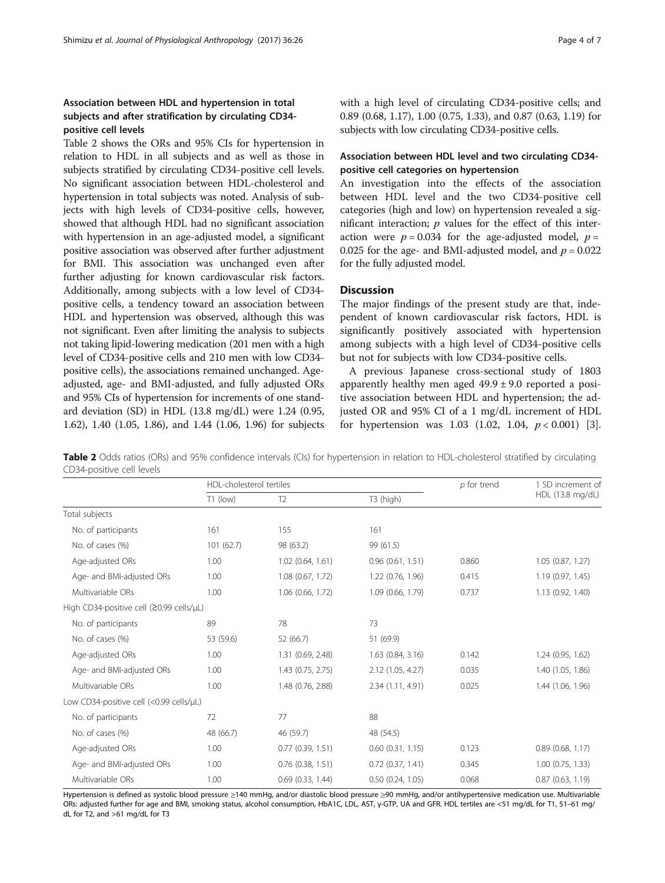# Association between HDL and hypertension in total subjects and after stratification by circulating CD34 positive cell levels

Table 2 shows the ORs and 95% CIs for hypertension in relation to HDL in all subjects and as well as those in subjects stratified by circulating CD34-positive cell levels. No significant association between HDL-cholesterol and hypertension in total subjects was noted. Analysis of subjects with high levels of CD34-positive cells, however, showed that although HDL had no significant association with hypertension in an age-adjusted model, a significant positive association was observed after further adjustment for BMI. This association was unchanged even after further adjusting for known cardiovascular risk factors. Additionally, among subjects with a low level of CD34 positive cells, a tendency toward an association between HDL and hypertension was observed, although this was not significant. Even after limiting the analysis to subjects not taking lipid-lowering medication (201 men with a high level of CD34-positive cells and 210 men with low CD34 positive cells), the associations remained unchanged. Ageadjusted, age- and BMI-adjusted, and fully adjusted ORs and 95% CIs of hypertension for increments of one standard deviation (SD) in HDL (13.8 mg/dL) were 1.24 (0.95, 1.62), 1.40 (1.05, 1.86), and 1.44 (1.06, 1.96) for subjects with a high level of circulating CD34-positive cells; and 0.89 (0.68, 1.17), 1.00 (0.75, 1.33), and 0.87 (0.63, 1.19) for subjects with low circulating CD34-positive cells.

# Association between HDL level and two circulating CD34 positive cell categories on hypertension

An investigation into the effects of the association between HDL level and the two CD34-positive cell categories (high and low) on hypertension revealed a significant interaction;  $p$  values for the effect of this interaction were  $p = 0.034$  for the age-adjusted model,  $p =$ 0.025 for the age- and BMI-adjusted model, and  $p = 0.022$ for the fully adjusted model.

## **Discussion**

The major findings of the present study are that, independent of known cardiovascular risk factors, HDL is significantly positively associated with hypertension among subjects with a high level of CD34-positive cells but not for subjects with low CD34-positive cells.

A previous Japanese cross-sectional study of 1803 apparently healthy men aged  $49.9 \pm 9.0$  reported a positive association between HDL and hypertension; the adjusted OR and 95% CI of a 1 mg/dL increment of HDL for hypertension was  $1.03$  (1.02, 1.04,  $p < 0.001$ ) [\[3](#page-5-0)].

Table 2 Odds ratios (ORs) and 95% confidence intervals (CIs) for hypertension in relation to HDL-cholesterol stratified by circulating CD34-positive cell levels

|                                          |            | HDL-cholesterol tertiles |                       |       | 1 SD increment of     |
|------------------------------------------|------------|--------------------------|-----------------------|-------|-----------------------|
|                                          | $T1$ (low) | T <sub>2</sub>           | T3 (high)             |       | HDL (13.8 mg/dL)      |
| Total subjects                           |            |                          |                       |       |                       |
| No. of participants                      | 161        | 155                      | 161                   |       |                       |
| No. of cases (%)                         | 101(62.7)  | 98 (63.2)                | 99 (61.5)             |       |                       |
| Age-adjusted ORs                         | 1.00       | $1.02$ (0.64, 1.61)      | 0.96(0.61, 1.51)      | 0.860 | 1.05(0.87, 1.27)      |
| Age- and BMI-adjusted ORs                | 1.00       | 1.08 (0.67, 1.72)        | 1.22 (0.76, 1.96)     | 0.415 | 1.19 (0.97, 1.45)     |
| Multivariable ORs                        | 1.00       | 1.06 (0.66, 1.72)        | 1.09 (0.66, 1.79)     | 0.737 | 1.13 (0.92, 1.40)     |
| High CD34-positive cell (≥0.99 cells/µL) |            |                          |                       |       |                       |
| No. of participants                      | 89         | 78                       | 73                    |       |                       |
| No. of cases (%)                         | 53 (59.6)  | 52 (66.7)                | 51 (69.9)             |       |                       |
| Age-adjusted ORs                         | 1.00       | 1.31 (0.69, 2.48)        | 1.63 (0.84, 3.16)     | 0.142 | 1.24(0.95, 1.62)      |
| Age- and BMI-adjusted ORs                | 1.00       | 1.43 (0.75, 2.75)        | 2.12 (1.05, 4.27)     | 0.035 | 1.40 (1.05, 1.86)     |
| Multivariable ORs                        | 1.00       | 1.48 (0.76, 2.88)        | 2.34 (1.11, 4.91)     | 0.025 | 1.44 (1.06, 1.96)     |
| Low CD34-positive cell (<0.99 cells/µL)  |            |                          |                       |       |                       |
| No. of participants                      | 72         | 77                       | 88                    |       |                       |
| No. of cases (%)                         | 48 (66.7)  | 46 (59.7)                | 48 (54.5)             |       |                       |
| Age-adjusted ORs                         | 1.00       | $0.77$ $(0.39, 1.51)$    | $0.60$ $(0.31, 1.15)$ | 0.123 | $0.89$ (0.68, 1.17)   |
| Age- and BMI-adjusted ORs                | 1.00       | $0.76$ $(0.38, 1.51)$    | 0.72(0.37, 1.41)      | 0.345 | $1.00$ $(0.75, 1.33)$ |
| Multivariable ORs                        | 1.00       | $0.69$ $(0.33, 1.44)$    | 0.50(0.24, 1.05)      | 0.068 | 0.87(0.63, 1.19)      |

Hypertension is defined as systolic blood pressure ≥140 mmHg, and/or diastolic blood pressure ≥90 mmHg, and/or antihypertensive medication use. Multivariable ORs: adjusted further for age and BMI, smoking status, alcohol consumption, HbA1C, LDL, AST, γ-GTP, UA and GFR. HDL tertiles are <51 mg/dL for T1, 51–61 mg/ dL for T2, and >61 mg/dL for T3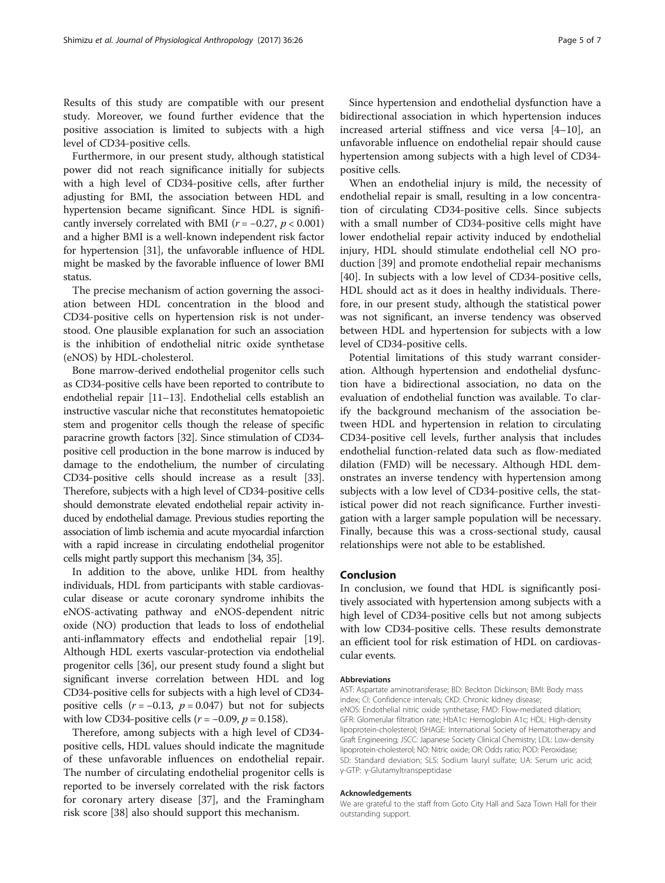Results of this study are compatible with our present study. Moreover, we found further evidence that the positive association is limited to subjects with a high level of CD34-positive cells.

Furthermore, in our present study, although statistical power did not reach significance initially for subjects with a high level of CD34-positive cells, after further adjusting for BMI, the association between HDL and hypertension became significant. Since HDL is significantly inversely correlated with BMI ( $r = -0.27$ ,  $p < 0.001$ ) and a higher BMI is a well-known independent risk factor for hypertension [\[31\]](#page-6-0), the unfavorable influence of HDL might be masked by the favorable influence of lower BMI status.

The precise mechanism of action governing the association between HDL concentration in the blood and CD34-positive cells on hypertension risk is not understood. One plausible explanation for such an association is the inhibition of endothelial nitric oxide synthetase (eNOS) by HDL-cholesterol.

Bone marrow-derived endothelial progenitor cells such as CD34-positive cells have been reported to contribute to endothelial repair [\[11](#page-5-0)–[13](#page-5-0)]. Endothelial cells establish an instructive vascular niche that reconstitutes hematopoietic stem and progenitor cells though the release of specific paracrine growth factors [[32](#page-6-0)]. Since stimulation of CD34 positive cell production in the bone marrow is induced by damage to the endothelium, the number of circulating CD34-positive cells should increase as a result [[33](#page-6-0)]. Therefore, subjects with a high level of CD34-positive cells should demonstrate elevated endothelial repair activity induced by endothelial damage. Previous studies reporting the association of limb ischemia and acute myocardial infarction with a rapid increase in circulating endothelial progenitor cells might partly support this mechanism [[34, 35\]](#page-6-0).

In addition to the above, unlike HDL from healthy individuals, HDL from participants with stable cardiovascular disease or acute coronary syndrome inhibits the eNOS-activating pathway and eNOS-dependent nitric oxide (NO) production that leads to loss of endothelial anti-inflammatory effects and endothelial repair [[19](#page-5-0)]. Although HDL exerts vascular-protection via endothelial progenitor cells [[36](#page-6-0)], our present study found a slight but significant inverse correlation between HDL and log CD34-positive cells for subjects with a high level of CD34 positive cells  $(r = -0.13, p = 0.047)$  but not for subjects with low CD34-positive cells ( $r = -0.09$ ,  $p = 0.158$ ).

Therefore, among subjects with a high level of CD34 positive cells, HDL values should indicate the magnitude of these unfavorable influences on endothelial repair. The number of circulating endothelial progenitor cells is reported to be inversely correlated with the risk factors for coronary artery disease [\[37](#page-6-0)], and the Framingham risk score [\[38\]](#page-6-0) also should support this mechanism.

Since hypertension and endothelial dysfunction have a bidirectional association in which hypertension induces increased arterial stiffness and vice versa [[4](#page-5-0)–[10](#page-5-0)], an unfavorable influence on endothelial repair should cause hypertension among subjects with a high level of CD34 positive cells.

When an endothelial injury is mild, the necessity of endothelial repair is small, resulting in a low concentration of circulating CD34-positive cells. Since subjects with a small number of CD34-positive cells might have lower endothelial repair activity induced by endothelial injury, HDL should stimulate endothelial cell NO production [[39\]](#page-6-0) and promote endothelial repair mechanisms [[40\]](#page-6-0). In subjects with a low level of CD34-positive cells, HDL should act as it does in healthy individuals. Therefore, in our present study, although the statistical power was not significant, an inverse tendency was observed between HDL and hypertension for subjects with a low level of CD34-positive cells.

Potential limitations of this study warrant consideration. Although hypertension and endothelial dysfunction have a bidirectional association, no data on the evaluation of endothelial function was available. To clarify the background mechanism of the association between HDL and hypertension in relation to circulating CD34-positive cell levels, further analysis that includes endothelial function-related data such as flow-mediated dilation (FMD) will be necessary. Although HDL demonstrates an inverse tendency with hypertension among subjects with a low level of CD34-positive cells, the statistical power did not reach significance. Further investigation with a larger sample population will be necessary. Finally, because this was a cross-sectional study, causal relationships were not able to be established.

#### Conclusion

In conclusion, we found that HDL is significantly positively associated with hypertension among subjects with a high level of CD34-positive cells but not among subjects with low CD34-positive cells. These results demonstrate an efficient tool for risk estimation of HDL on cardiovascular events.

#### Abbreviations

AST: Aspartate aminotransferase; BD: Beckton Dickinson; BMI: Body mass index; CI: Confidence intervals; CKD: Chronic kidney disease; eNOS: Endothelial nitric oxide synthetase; FMD: Flow-mediated dilation; GFR: Glomerular filtration rate; HbA1c: Hemoglobin A1c; HDL: High-density lipoprotein-cholesterol; ISHAGE: International Society of Hematotherapy and Graft Engineering; JSCC: Japanese Society Clinical Chemistry; LDL: Low-density lipoprotein-cholesterol; NO: Nitric oxide; OR: Odds ratio; POD: Peroxidase; SD: Standard deviation; SLS: Sodium lauryl sulfate; UA: Serum uric acid; γ-GTP: γ-Glutamyltranspeptidase

#### Acknowledgements

We are grateful to the staff from Goto City Hall and Saza Town Hall for their outstanding support.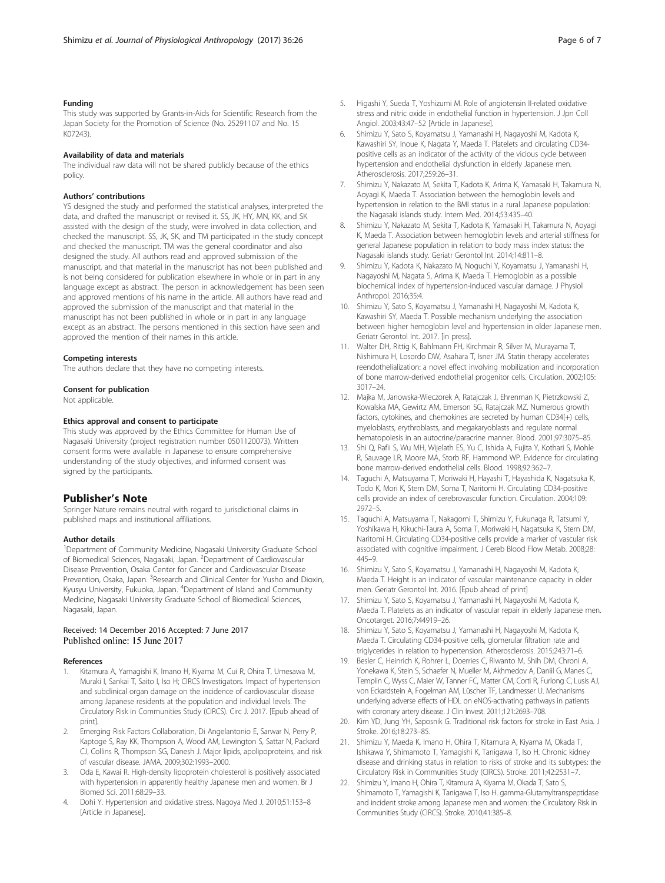#### <span id="page-5-0"></span>Funding

This study was supported by Grants-in-Aids for Scientific Research from the Japan Society for the Promotion of Science (No. 25291107 and No. 15 K07243).

#### Availability of data and materials

The individual raw data will not be shared publicly because of the ethics policy.

#### Authors' contributions

YS designed the study and performed the statistical analyses, interpreted the data, and drafted the manuscript or revised it. SS, JK, HY, MN, KK, and SK assisted with the design of the study, were involved in data collection, and checked the manuscript. SS, JK, SK, and TM participated in the study concept and checked the manuscript. TM was the general coordinator and also designed the study. All authors read and approved submission of the manuscript, and that material in the manuscript has not been published and is not being considered for publication elsewhere in whole or in part in any language except as abstract. The person in acknowledgement has been seen and approved mentions of his name in the article. All authors have read and approved the submission of the manuscript and that material in the manuscript has not been published in whole or in part in any language except as an abstract. The persons mentioned in this section have seen and approved the mention of their names in this article.

#### Competing interests

The authors declare that they have no competing interests.

#### Consent for publication

Not applicable.

#### Ethics approval and consent to participate

This study was approved by the Ethics Committee for Human Use of Nagasaki University (project registration number 0501120073). Written consent forms were available in Japanese to ensure comprehensive understanding of the study objectives, and informed consent was signed by the participants.

#### Publisher's Note

Springer Nature remains neutral with regard to jurisdictional claims in published maps and institutional affiliations.

#### Author details

<sup>1</sup>Department of Community Medicine, Nagasaki University Graduate School of Biomedical Sciences, Nagasaki, Japan. <sup>2</sup> Department of Cardiovascular Disease Prevention, Osaka Center for Cancer and Cardiovascular Disease Prevention, Osaka, Japan. <sup>3</sup>Research and Clinical Center for Yusho and Dioxin, Kyusyu University, Fukuoka, Japan. <sup>4</sup>Department of Island and Community Medicine, Nagasaki University Graduate School of Biomedical Sciences, Nagasaki, Japan.

# Received: 14 December 2016 Accepted: 7 June 2017

#### References

- 1. Kitamura A, Yamagishi K, Imano H, Kiyama M, Cui R, Ohira T, Umesawa M, Muraki I, Sankai T, Saito I, Iso H; CIRCS Investigators. Impact of hypertension and subclinical organ damage on the incidence of cardiovascular disease among Japanese residents at the population and individual levels. The Circulatory Risk in Communities Study (CIRCS). Circ J. 2017. [Epub ahead of print].
- 2. Emerging Risk Factors Collaboration, Di Angelantonio E, Sarwar N, Perry P, Kaptoge S, Ray KK, Thompson A, Wood AM, Lewington S, Sattar N, Packard CJ, Collins R, Thompson SG, Danesh J. Major lipids, apolipoproteins, and risk of vascular disease. JAMA. 2009;302:1993–2000.
- 3. Oda E, Kawai R. High-density lipoprotein cholesterol is positively associated with hypertension in apparently healthy Japanese men and women. Br J Biomed Sci. 2011;68:29–33.
- 4. Dohi Y. Hypertension and oxidative stress. Nagoya Med J. 2010;51:153–8 [Article in Japanese].
- 5. Higashi Y, Sueda T, Yoshizumi M. Role of angiotensin II-related oxidative stress and nitric oxide in endothelial function in hypertension. J Jpn Coll Angiol. 2003;43:47–52 [Article in Japanese].
- 6. Shimizu Y, Sato S, Koyamatsu J, Yamanashi H, Nagayoshi M, Kadota K, Kawashiri SY, Inoue K, Nagata Y, Maeda T. Platelets and circulating CD34 positive cells as an indicator of the activity of the vicious cycle between hypertension and endothelial dysfunction in elderly Japanese men. Atherosclerosis. 2017;259:26–31.
- 7. Shimizu Y, Nakazato M, Sekita T, Kadota K, Arima K, Yamasaki H, Takamura N, Aoyagi K, Maeda T. Association between the hemoglobin levels and hypertension in relation to the BMI status in a rural Japanese population: the Nagasaki islands study. Intern Med. 2014;53:435–40.
- 8. Shimizu Y, Nakazato M, Sekita T, Kadota K, Yamasaki H, Takamura N, Aoyagi K, Maeda T. Association between hemoglobin levels and arterial stiffness for general Japanese population in relation to body mass index status: the Nagasaki islands study. Geriatr Gerontol Int. 2014;14:811–8.
- 9. Shimizu Y, Kadota K, Nakazato M, Noguchi Y, Koyamatsu J, Yamanashi H, Nagayoshi M, Nagata S, Arima K, Maeda T. Hemoglobin as a possible biochemical index of hypertension-induced vascular damage. J Physiol Anthropol. 2016;35:4.
- 10. Shimizu Y, Sato S, Koyamatsu J, Yamanashi H, Nagayoshi M, Kadota K, Kawashiri SY, Maeda T. Possible mechanism underlying the association between higher hemoglobin level and hypertension in older Japanese men. Geriatr Gerontol Int. 2017. [in press].
- 11. Walter DH, Rittig K, Bahlmann FH, Kirchmair R, Silver M, Murayama T, Nishimura H, Losordo DW, Asahara T, Isner JM. Statin therapy accelerates reendothelialization: a novel effect involving mobilization and incorporation of bone marrow-derived endothelial progenitor cells. Circulation. 2002;105: 3017–24.
- 12. Majka M, Janowska-Wieczorek A, Ratajczak J, Ehrenman K, Pietrzkowski Z, Kowalska MA, Gewirtz AM, Emerson SG, Ratajczak MZ. Numerous growth factors, cytokines, and chemokines are secreted by human CD34(+) cells, myeloblasts, erythroblasts, and megakaryoblasts and regulate normal hematopoiesis in an autocrine/paracrine manner. Blood. 2001;97:3075–85.
- 13. Shi Q, Rafii S, Wu MH, Wijelath ES, Yu C, Ishida A, Fujita Y, Kothari S, Mohle R, Sauvage LR, Moore MA, Storb RF, Hammond WP. Evidence for circulating bone marrow-derived endothelial cells. Blood. 1998;92:362–7.
- 14. Taguchi A, Matsuyama T, Moriwaki H, Hayashi T, Hayashida K, Nagatsuka K, Todo K, Mori K, Stern DM, Soma T, Naritomi H. Circulating CD34-positive cells provide an index of cerebrovascular function. Circulation. 2004;109: 2972–5.
- 15. Taguchi A, Matsuyama T, Nakagomi T, Shimizu Y, Fukunaga R, Tatsumi Y, Yoshikawa H, Kikuchi-Taura A, Soma T, Moriwaki H, Nagatsuka K, Stern DM, Naritomi H. Circulating CD34-positive cells provide a marker of vascular risk associated with cognitive impairment. J Cereb Blood Flow Metab. 2008;28: 445–9.
- 16. Shimizu Y, Sato S, Koyamatsu J, Yamanashi H, Nagayoshi M, Kadota K, Maeda T. Height is an indicator of vascular maintenance capacity in older men. Geriatr Gerontol Int. 2016. [Epub ahead of print]
- 17. Shimizu Y, Sato S, Koyamatsu J, Yamanashi H, Nagayoshi M, Kadota K, Maeda T. Platelets as an indicator of vascular repair in elderly Japanese men. Oncotarget. 2016;7:44919–26.
- 18. Shimizu Y, Sato S, Koyamatsu J, Yamanashi H, Nagayoshi M, Kadota K, Maeda T. Circulating CD34-positive cells, glomerular filtration rate and triglycerides in relation to hypertension. Atherosclerosis. 2015;243:71–6.
- 19. Besler C, Heinrich K, Rohrer L, Doerries C, Riwanto M, Shih DM, Chroni A, Yonekawa K, Stein S, Schaefer N, Mueller M, Akhmedov A, Daniil G, Manes C, Templin C, Wyss C, Maier W, Tanner FC, Matter CM, Corti R, Furlong C, Lusis AJ, von Eckardstein A, Fogelman AM, Lüscher TF, Landmesser U. Mechanisms underlying adverse effects of HDL on eNOS-activating pathways in patients with coronary artery disease. J Clin Invest. 2011;121:2693–708.
- 20. Kim YD, Jung YH, Saposnik G. Traditional risk factors for stroke in East Asia. J Stroke. 2016;18:273–85.
- 21. Shimizu Y, Maeda K, Imano H, Ohira T, Kitamura A, Kiyama M, Okada T, Ishikawa Y, Shimamoto T, Yamagishi K, Tanigawa T, Iso H. Chronic kidney disease and drinking status in relation to risks of stroke and its subtypes: the Circulatory Risk in Communities Study (CIRCS). Stroke. 2011;42:2531–7.
- 22. Shimizu Y, Imano H, Ohira T, Kitamura A, Kiyama M, Okada T, Sato S, Shimamoto T, Yamagishi K, Tanigawa T, Iso H. gamma-Glutamyltranspeptidase and incident stroke among Japanese men and women: the Circulatory Risk in Communities Study (CIRCS). Stroke. 2010;41:385–8.